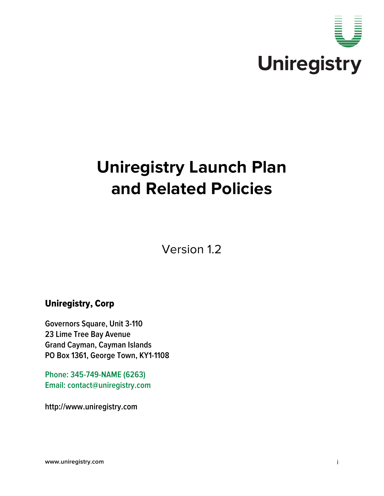

# **Uniregistry Launch Plan and Related Policies**

Version 1.2

# Uniregistry, Corp

**Governors Square, Unit 3-110 23 Lime Tree Bay Avenue Grand Cayman, Cayman Islands PO Box 1361, George Town, KY1-1108**

**Phone: 345-749-NAME (6263) Email: contact@uniregistry.com**

**http://www.uniregistry.com**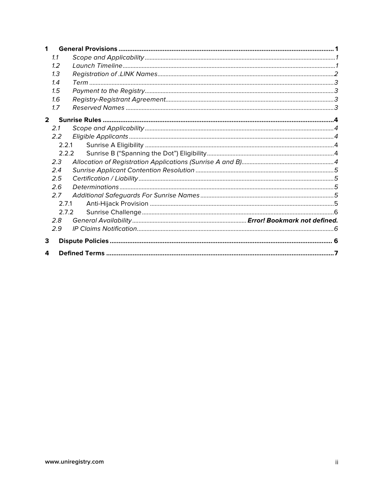| 1           |       |       |  |  |  |
|-------------|-------|-------|--|--|--|
| 1.1         |       |       |  |  |  |
|             | 1.2   |       |  |  |  |
|             | 1.3   |       |  |  |  |
|             | 1.4   |       |  |  |  |
|             | 1.5   |       |  |  |  |
|             | 1.6   |       |  |  |  |
|             | 1.7   |       |  |  |  |
| $2^{\circ}$ |       |       |  |  |  |
|             | 2.1   |       |  |  |  |
|             | 2.2   |       |  |  |  |
|             | 2.2.1 |       |  |  |  |
|             |       | 2.2.2 |  |  |  |
|             | 2.3   |       |  |  |  |
|             | 2.4   |       |  |  |  |
|             | 2.5   |       |  |  |  |
|             | 2.6   |       |  |  |  |
|             | 2.7   |       |  |  |  |
| 2.7.1       |       |       |  |  |  |
|             | 2.7.2 |       |  |  |  |
|             | 2.8   |       |  |  |  |
|             | 2.9   |       |  |  |  |
| 3           |       |       |  |  |  |
| 4           |       |       |  |  |  |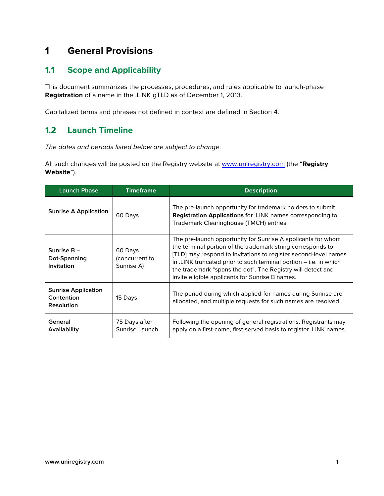# **1 General Provisions**

## **1.1 Scope and Applicability**

This document summarizes the processes, procedures, and rules applicable to launch-phase **Registration** of a name in the .LINK gTLD as of December 1, 2013.

Capitalized terms and phrases not defined in context are defined in Section 4.

## **1.2 Launch Timeline**

*The dates and periods listed below are subject to change.* 

All such changes will be posted on the Registry website at www.uniregistry.com (the "**Registry Website**").

| <b>Launch Phase</b>                                           | <b>Timeframe</b>                        | <b>Description</b>                                                                                                                                                                                                                                                                                                                                                                    |
|---------------------------------------------------------------|-----------------------------------------|---------------------------------------------------------------------------------------------------------------------------------------------------------------------------------------------------------------------------------------------------------------------------------------------------------------------------------------------------------------------------------------|
| <b>Sunrise A Application</b>                                  | 60 Days                                 | The pre-launch opportunity for trademark holders to submit<br><b>Registration Applications</b> for .LINK names corresponding to<br>Trademark Clearinghouse (TMCH) entries.                                                                                                                                                                                                            |
| Sunrise B-<br>Dot-Spanning<br>Invitation                      | 60 Days<br>(concurrent to<br>Sunrise A) | The pre-launch opportunity for Sunrise A applicants for whom<br>the terminal portion of the trademark string corresponds to<br>[TLD] may respond to invitations to register second-level names<br>in .LINK truncated prior to such terminal portion – i.e. in which<br>the trademark "spans the dot". The Registry will detect and<br>invite eligible applicants for Sunrise B names. |
| <b>Sunrise Application</b><br>Contention<br><b>Resolution</b> | 15 Days                                 | The period during which applied-for names during Sunrise are<br>allocated, and multiple requests for such names are resolved.                                                                                                                                                                                                                                                         |
| General<br>Availability                                       | 75 Days after<br>Sunrise Launch         | Following the opening of general registrations. Registrants may<br>apply on a first-come, first-served basis to register .LINK names.                                                                                                                                                                                                                                                 |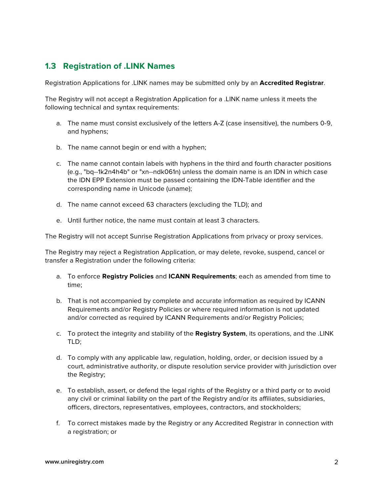## **1.3 Registration of .LINK Names**

Registration Applications for .LINK names may be submitted only by an **Accredited Registrar**.

The Registry will not accept a Registration Application for a .LINK name unless it meets the following technical and syntax requirements:

- a. The name must consist exclusively of the letters A-Z (case insensitive), the numbers 0-9, and hyphens;
- b. The name cannot begin or end with a hyphen;
- c. The name cannot contain labels with hyphens in the third and fourth character positions (e.g., "bq--1k2n4h4b" or "xn--ndk061n) unless the domain name is an IDN in which case the IDN EPP Extension must be passed containing the IDN-Table identifier and the corresponding name in Unicode (uname);
- d. The name cannot exceed 63 characters (excluding the TLD); and
- e. Until further notice, the name must contain at least 3 characters.

The Registry will not accept Sunrise Registration Applications from privacy or proxy services.

The Registry may reject a Registration Application, or may delete, revoke, suspend, cancel or transfer a Registration under the following criteria:

- a. To enforce **Registry Policies** and **ICANN Requirements**; each as amended from time to time;
- b. That is not accompanied by complete and accurate information as required by ICANN Requirements and/or Registry Policies or where required information is not updated and/or corrected as required by ICANN Requirements and/or Registry Policies;
- c. To protect the integrity and stability of the **Registry System**, its operations, and the .LINK TLD;
- d. To comply with any applicable law, regulation, holding, order, or decision issued by a court, administrative authority, or dispute resolution service provider with jurisdiction over the Registry;
- e. To establish, assert, or defend the legal rights of the Registry or a third party or to avoid any civil or criminal liability on the part of the Registry and/or its affiliates, subsidiaries, officers, directors, representatives, employees, contractors, and stockholders;
- f. To correct mistakes made by the Registry or any Accredited Registrar in connection with a registration; or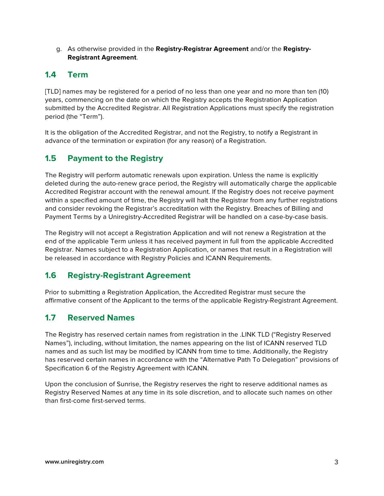g. As otherwise provided in the **Registry-Registrar Agreement** and/or the **Registry-Registrant Agreement**.

## **1.4 Term**

[TLD] names may be registered for a period of no less than one year and no more than ten (10) years, commencing on the date on which the Registry accepts the Registration Application submitted by the Accredited Registrar. All Registration Applications must specify the registration period (the "Term").

It is the obligation of the Accredited Registrar, and not the Registry, to notify a Registrant in advance of the termination or expiration (for any reason) of a Registration.

## **1.5 Payment to the Registry**

The Registry will perform automatic renewals upon expiration. Unless the name is explicitly deleted during the auto-renew grace period, the Registry will automatically charge the applicable Accredited Registrar account with the renewal amount. If the Registry does not receive payment within a specified amount of time, the Registry will halt the Registrar from any further registrations and consider revoking the Registrar's accreditation with the Registry. Breaches of Billing and Payment Terms by a Uniregistry-Accredited Registrar will be handled on a case-by-case basis.

The Registry will not accept a Registration Application and will not renew a Registration at the end of the applicable Term unless it has received payment in full from the applicable Accredited Registrar. Names subject to a Registration Application, or names that result in a Registration will be released in accordance with Registry Policies and ICANN Requirements.

## **1.6 Registry-Registrant Agreement**

Prior to submitting a Registration Application, the Accredited Registrar must secure the affirmative consent of the Applicant to the terms of the applicable Registry-Registrant Agreement.

## **1.7 Reserved Names**

The Registry has reserved certain names from registration in the .LINK TLD ("Registry Reserved Names"), including, without limitation, the names appearing on the list of ICANN reserved TLD names and as such list may be modified by ICANN from time to time. Additionally, the Registry has reserved certain names in accordance with the "Alternative Path To Delegation" provisions of Specification 6 of the Registry Agreement with ICANN.

Upon the conclusion of Sunrise, the Registry reserves the right to reserve additional names as Registry Reserved Names at any time in its sole discretion, and to allocate such names on other than first-come first-served terms.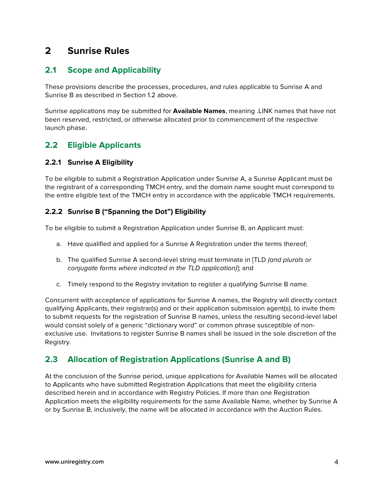# **2 Sunrise Rules**

## **2.1 Scope and Applicability**

These provisions describe the processes, procedures, and rules applicable to Sunrise A and Sunrise B as described in Section 1.2 above.

Sunrise applications may be submitted for **Available Names**, meaning .LINK names that have not been reserved, restricted, or otherwise allocated prior to commencement of the respective launch phase.

## **2.2 Eligible Applicants**

#### **2.2.1 Sunrise A Eligibility**

To be eligible to submit a Registration Application under Sunrise A, a Sunrise Applicant must be the registrant of a corresponding TMCH entry, and the domain name sought must correspond to the entire eligible text of the TMCH entry in accordance with the applicable TMCH requirements.

#### **2.2.2 Sunrise B ("Spanning the Dot") Eligibility**

To be eligible to submit a Registration Application under Sunrise B, an Applicant must:

- a. Have qualified and applied for a Sunrise A Registration under the terms thereof;
- b. The qualified Sunrise A second-level string must terminate in [TLD *(and plurals or conjugate forms where indicated in the TLD application)*]; and
- c. Timely respond to the Registry invitation to register a qualifying Sunrise B name.

Concurrent with acceptance of applications for Sunrise A names, the Registry will directly contact qualifying Applicants, their registrar(s) and or their application submission agent(s), to invite them to submit requests for the registration of Sunrise B names, unless the resulting second-level label would consist solely of a generic "dictionary word" or common phrase susceptible of nonexclusive use. Invitations to register Sunrise B names shall be issued in the sole discretion of the Registry.

## **2.3 Allocation of Registration Applications (Sunrise A and B)**

At the conclusion of the Sunrise period, unique applications for Available Names will be allocated to Applicants who have submitted Registration Applications that meet the eligibility criteria described herein and in accordance with Registry Policies. If more than one Registration Application meets the eligibility requirements for the same Available Name, whether by Sunrise A or by Sunrise B, inclusively, the name will be allocated in accordance with the Auction Rules.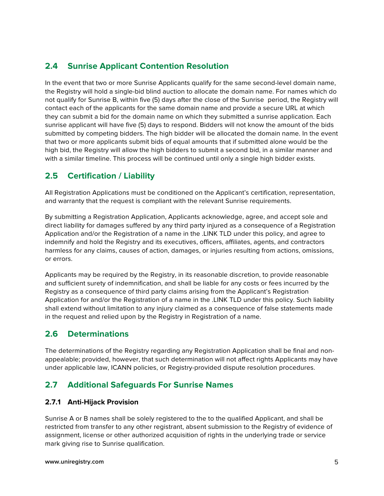## **2.4 Sunrise Applicant Contention Resolution**

In the event that two or more Sunrise Applicants qualify for the same second-level domain name, the Registry will hold a single-bid blind auction to allocate the domain name. For names which do not qualify for Sunrise B, within five (5) days after the close of the Sunrise period, the Registry will contact each of the applicants for the same domain name and provide a secure URL at which they can submit a bid for the domain name on which they submitted a sunrise application. Each sunrise applicant will have five (5) days to respond. Bidders will not know the amount of the bids submitted by competing bidders. The high bidder will be allocated the domain name. In the event that two or more applicants submit bids of equal amounts that if submitted alone would be the high bid, the Registry will allow the high bidders to submit a second bid, in a similar manner and with a similar timeline. This process will be continued until only a single high bidder exists.

## **2.5 Certification / Liability**

All Registration Applications must be conditioned on the Applicant's certification, representation, and warranty that the request is compliant with the relevant Sunrise requirements.

By submitting a Registration Application, Applicants acknowledge, agree, and accept sole and direct liability for damages suffered by any third party injured as a consequence of a Registration Application and/or the Registration of a name in the .LINK TLD under this policy, and agree to indemnify and hold the Registry and its executives, officers, affiliates, agents, and contractors harmless for any claims, causes of action, damages, or injuries resulting from actions, omissions, or errors.

Applicants may be required by the Registry, in its reasonable discretion, to provide reasonable and sufficient surety of indemnification, and shall be liable for any costs or fees incurred by the Registry as a consequence of third party claims arising from the Applicant's Registration Application for and/or the Registration of a name in the .LINK TLD under this policy. Such liability shall extend without limitation to any injury claimed as a consequence of false statements made in the request and relied upon by the Registry in Registration of a name.

## **2.6 Determinations**

The determinations of the Registry regarding any Registration Application shall be final and nonappealable; provided, however, that such determination will not affect rights Applicants may have under applicable law, ICANN policies, or Registry-provided dispute resolution procedures.

## **2.7 Additional Safeguards For Sunrise Names**

#### **2.7.1 Anti-Hijack Provision**

Sunrise A or B names shall be solely registered to the to the qualified Applicant, and shall be restricted from transfer to any other registrant, absent submission to the Registry of evidence of assignment, license or other authorized acquisition of rights in the underlying trade or service mark giving rise to Sunrise qualification.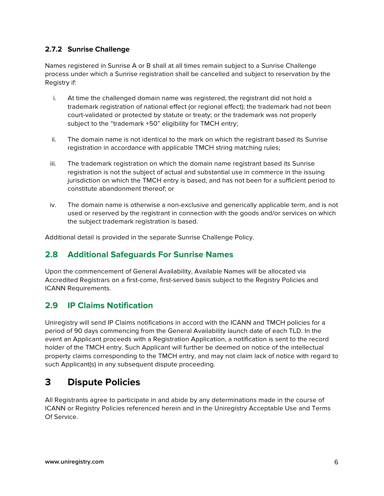#### **2.7.2 Sunrise Challenge**

Names registered in Sunrise A or B shall at all times remain subject to a Sunrise Challenge process under which a Sunrise registration shall be cancelled and subject to reservation by the Registry if:

- i. At time the challenged domain name was registered, the registrant did not hold a trademark registration of national effect (or regional effect); the trademark had not been court-validated or protected by statute or treaty; or the trademark was not properly subject to the "trademark +50" eligibility for TMCH entry;
- ii. The domain name is not identical to the mark on which the registrant based its Sunrise registration in accordance with applicable TMCH string matching rules;
- iii. The trademark registration on which the domain name registrant based its Sunrise registration is not the subject of actual and substantial use in commerce in the issuing jurisdiction on which the TMCH entry is based, and has not been for a sufficient period to constitute abandonment thereof; or
- iv. The domain name is otherwise a non-exclusive and generically applicable term, and is not used or reserved by the registrant in connection with the goods and/or services on which the subject trademark registration is based.

Additional detail is provided in the separate Sunrise Challenge Policy.

#### **2.8 Additional Safeguards For Sunrise Names**

Upon the commencement of General Availability, Available Names will be allocated via Accredited Registrars on a first-come, first-served basis subject to the Registry Policies and ICANN Requirements.

#### **2.9 IP Claims Notification**

Uniregistry will send IP Claims notifications in accord with the ICANN and TMCH policies for a period of 90 days commencing from the General Availability launch date of each TLD. In the event an Applicant proceeds with a Registration Application, a notification is sent to the record holder of the TMCH entry. Such Applicant will further be deemed on notice of the intellectual property claims corresponding to the TMCH entry, and may not claim lack of notice with regard to such Applicant(s) in any subsequent dispute proceeding.

## **3 Dispute Policies**

All Registrants agree to participate in and abide by any determinations made in the course of ICANN or Registry Policies referenced herein and in the Uniregistry Acceptable Use and Terms Of Service.